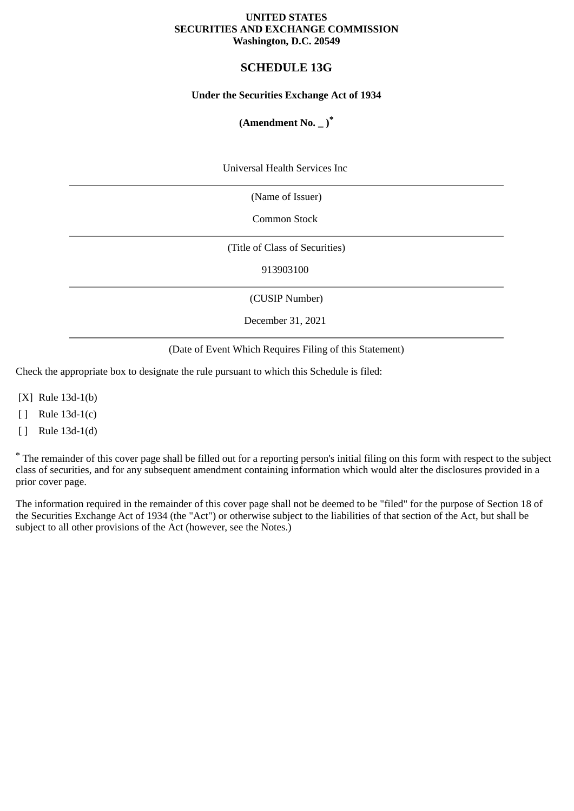#### **UNITED STATES SECURITIES AND EXCHANGE COMMISSION Washington, D.C. 20549**

## **SCHEDULE 13G**

#### **Under the Securities Exchange Act of 1934**

## **(Amendment No. \_ )\***

Universal Health Services Inc

(Name of Issuer)

Common Stock

(Title of Class of Securities)

913903100

(CUSIP Number)

December 31, 2021

(Date of Event Which Requires Filing of this Statement)

Check the appropriate box to designate the rule pursuant to which this Schedule is filed:

[X] Rule 13d-1(b)

[ ] Rule 13d-1(c)

[ ] Rule 13d-1(d)

\* The remainder of this cover page shall be filled out for a reporting person's initial filing on this form with respect to the subject class of securities, and for any subsequent amendment containing information which would alter the disclosures provided in a prior cover page.

The information required in the remainder of this cover page shall not be deemed to be "filed" for the purpose of Section 18 of the Securities Exchange Act of 1934 (the "Act") or otherwise subject to the liabilities of that section of the Act, but shall be subject to all other provisions of the Act (however, see the Notes.)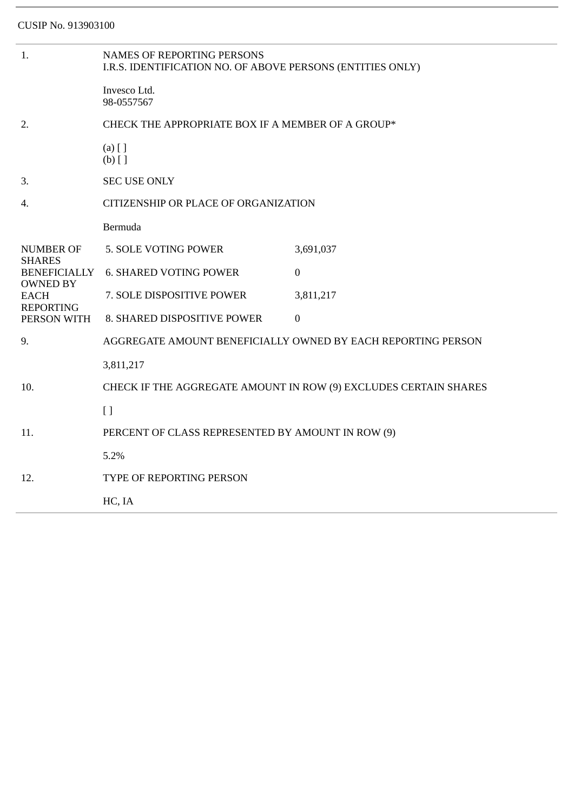| 1.                                                                | <b>NAMES OF REPORTING PERSONS</b><br>I.R.S. IDENTIFICATION NO. OF ABOVE PERSONS (ENTITIES ONLY) |                  |  |
|-------------------------------------------------------------------|-------------------------------------------------------------------------------------------------|------------------|--|
|                                                                   | Invesco Ltd.<br>98-0557567                                                                      |                  |  |
| 2.                                                                | CHECK THE APPROPRIATE BOX IF A MEMBER OF A GROUP*                                               |                  |  |
|                                                                   | $(a)$ [ ]<br>$(b)$ []                                                                           |                  |  |
| 3.                                                                | <b>SEC USE ONLY</b>                                                                             |                  |  |
| 4.                                                                | CITIZENSHIP OR PLACE OF ORGANIZATION                                                            |                  |  |
|                                                                   | Bermuda                                                                                         |                  |  |
| <b>NUMBER OF</b>                                                  | 5. SOLE VOTING POWER                                                                            | 3,691,037        |  |
| <b>SHARES</b><br><b>BENEFICIALLY</b>                              | <b>6. SHARED VOTING POWER</b>                                                                   | $\mathbf{0}$     |  |
| <b>OWNED BY</b><br><b>EACH</b><br><b>REPORTING</b><br>PERSON WITH | 7. SOLE DISPOSITIVE POWER                                                                       | 3,811,217        |  |
|                                                                   | 8. SHARED DISPOSITIVE POWER                                                                     | $\boldsymbol{0}$ |  |
| 9.                                                                | AGGREGATE AMOUNT BENEFICIALLY OWNED BY EACH REPORTING PERSON                                    |                  |  |
|                                                                   | 3,811,217                                                                                       |                  |  |
| 10.                                                               | CHECK IF THE AGGREGATE AMOUNT IN ROW (9) EXCLUDES CERTAIN SHARES                                |                  |  |
|                                                                   | $\lceil$                                                                                        |                  |  |
| 11.                                                               | PERCENT OF CLASS REPRESENTED BY AMOUNT IN ROW (9)                                               |                  |  |
|                                                                   | 5.2%                                                                                            |                  |  |
| 12.                                                               | TYPE OF REPORTING PERSON                                                                        |                  |  |
|                                                                   | HC, IA                                                                                          |                  |  |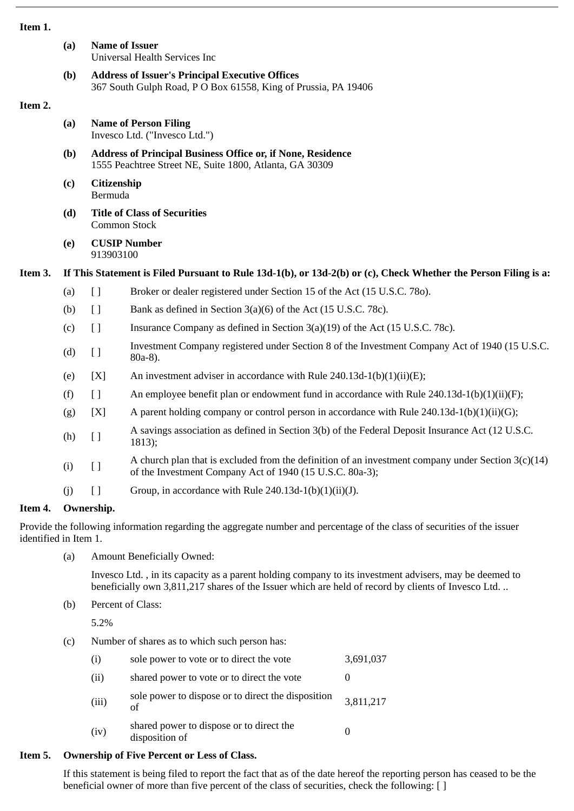| ×<br>٠<br>M.<br>۰, | ٠ |
|--------------------|---|
|--------------------|---|

| 1111111. |     |                                                                                                                               |                                                                                                                                                                  |  |  |
|----------|-----|-------------------------------------------------------------------------------------------------------------------------------|------------------------------------------------------------------------------------------------------------------------------------------------------------------|--|--|
|          | (a) | <b>Name of Issuer</b><br>Universal Health Services Inc                                                                        |                                                                                                                                                                  |  |  |
|          | (b) | <b>Address of Issuer's Principal Executive Offices</b><br>367 South Gulph Road, P O Box 61558, King of Prussia, PA 19406      |                                                                                                                                                                  |  |  |
| Item 2.  |     |                                                                                                                               |                                                                                                                                                                  |  |  |
|          | (a) | <b>Name of Person Filing</b><br>Invesco Ltd. ("Invesco Ltd.")                                                                 |                                                                                                                                                                  |  |  |
|          | (b) | <b>Address of Principal Business Office or, if None, Residence</b><br>1555 Peachtree Street NE, Suite 1800, Atlanta, GA 30309 |                                                                                                                                                                  |  |  |
|          | (c) | Citizenship<br>Bermuda                                                                                                        |                                                                                                                                                                  |  |  |
|          | (d) | <b>Title of Class of Securities</b><br><b>Common Stock</b>                                                                    |                                                                                                                                                                  |  |  |
|          | (e) | 913903100                                                                                                                     | <b>CUSIP Number</b>                                                                                                                                              |  |  |
| Item 3.  |     | If This Statement is Filed Pursuant to Rule 13d-1(b), or 13d-2(b) or (c), Check Whether the Person Filing is a:               |                                                                                                                                                                  |  |  |
|          | (a) | $\begin{array}{c} \square \end{array}$                                                                                        | Broker or dealer registered under Section 15 of the Act (15 U.S.C. 780).                                                                                         |  |  |
|          | (b) | $\lceil$                                                                                                                      | Bank as defined in Section 3(a)(6) of the Act (15 U.S.C. 78c).                                                                                                   |  |  |
|          | (c) | $\lceil$                                                                                                                      | Insurance Company as defined in Section 3(a)(19) of the Act (15 U.S.C. 78c).                                                                                     |  |  |
|          | (d) | [ ]                                                                                                                           | Investment Company registered under Section 8 of the Investment Company Act of 1940 (15 U.S.C.<br>80a-8).                                                        |  |  |
|          | (e) | [X]                                                                                                                           | An investment adviser in accordance with Rule 240.13d-1(b)(1)(ii)(E);                                                                                            |  |  |
|          | (f) | $\begin{array}{c} \square \end{array}$                                                                                        | An employee benefit plan or endowment fund in accordance with Rule 240.13d-1(b)(1)(ii)(F);                                                                       |  |  |
|          | (g) | [X]                                                                                                                           | A parent holding company or control person in accordance with Rule 240.13d-1(b)(1)(ii)(G);                                                                       |  |  |
|          | (h) | [ ]                                                                                                                           | A savings association as defined in Section 3(b) of the Federal Deposit Insurance Act (12 U.S.C.<br>1813);                                                       |  |  |
|          | (i) | [ ]                                                                                                                           | A church plan that is excluded from the definition of an investment company under Section $3(c)(14)$<br>of the Investment Company Act of 1940 (15 U.S.C. 80a-3); |  |  |
|          | (i) | $[ \ ]$                                                                                                                       | Group, in accordance with Rule 240.13d-1(b)(1)(ii)(J).                                                                                                           |  |  |
| Item 4.  |     | Ownership.                                                                                                                    |                                                                                                                                                                  |  |  |

Provide the following information regarding the aggregate number and percentage of the class of securities of the issuer identified in Item 1.

(a) Amount Beneficially Owned:

Invesco Ltd. , in its capacity as a parent holding company to its investment advisers, may be deemed to beneficially own 3,811,217 shares of the Issuer which are held of record by clients of Invesco Ltd. ..

(b) Percent of Class:

5.2%

(c) Number of shares as to which such person has:

| (i)   | sole power to vote or to direct the vote                   | 3,691,037 |
|-------|------------------------------------------------------------|-----------|
| (ii)  | shared power to vote or to direct the vote                 |           |
| (iii) | sole power to dispose or to direct the disposition<br>of   | 3,811,217 |
| (iv)  | shared power to dispose or to direct the<br>disposition of |           |

# **Item 5. Ownership of Five Percent or Less of Class.**

If this statement is being filed to report the fact that as of the date hereof the reporting person has ceased to be the beneficial owner of more than five percent of the class of securities, check the following: []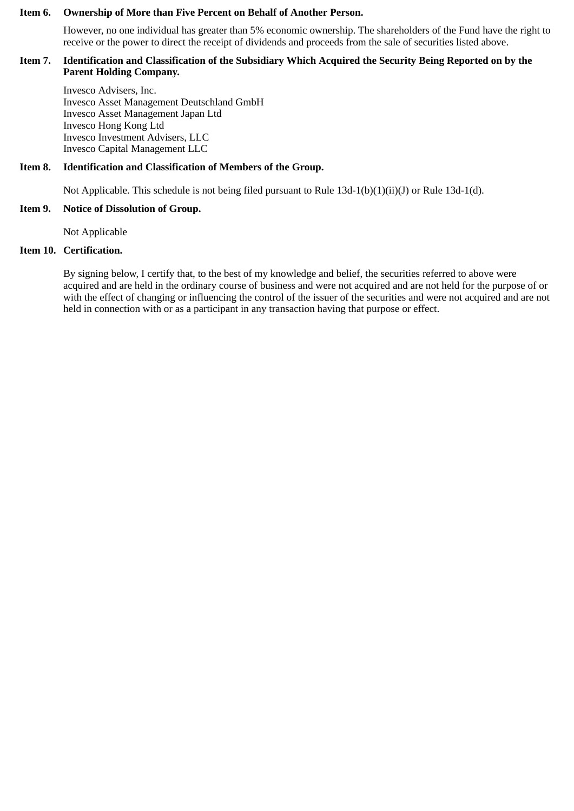#### **Item 6. Ownership of More than Five Percent on Behalf of Another Person.**

However, no one individual has greater than 5% economic ownership. The shareholders of the Fund have the right to receive or the power to direct the receipt of dividends and proceeds from the sale of securities listed above.

#### **Item 7. Identification and Classification of the Subsidiary Which Acquired the Security Being Reported on by the Parent Holding Company.**

Invesco Advisers, Inc. Invesco Asset Management Deutschland GmbH Invesco Asset Management Japan Ltd Invesco Hong Kong Ltd Invesco Investment Advisers, LLC Invesco Capital Management LLC

#### **Item 8. Identification and Classification of Members of the Group.**

Not Applicable. This schedule is not being filed pursuant to Rule 13d-1(b)(1)(ii)(J) or Rule 13d-1(d).

#### **Item 9. Notice of Dissolution of Group.**

Not Applicable

### **Item 10. Certification.**

By signing below, I certify that, to the best of my knowledge and belief, the securities referred to above were acquired and are held in the ordinary course of business and were not acquired and are not held for the purpose of or with the effect of changing or influencing the control of the issuer of the securities and were not acquired and are not held in connection with or as a participant in any transaction having that purpose or effect.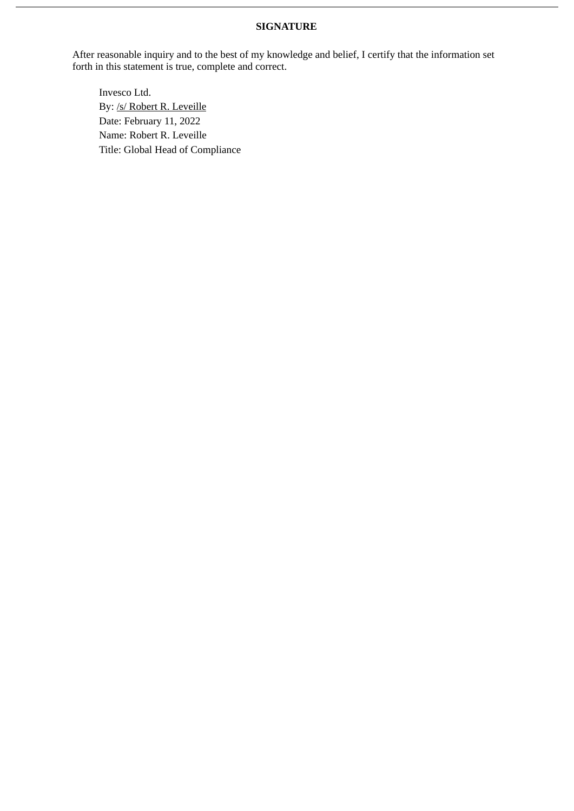## **SIGNATURE**

After reasonable inquiry and to the best of my knowledge and belief, I certify that the information set forth in this statement is true, complete and correct.

Invesco Ltd. By: /s/ Robert R. Leveille Date: February 11, 2022 Name: Robert R. Leveille Title: Global Head of Compliance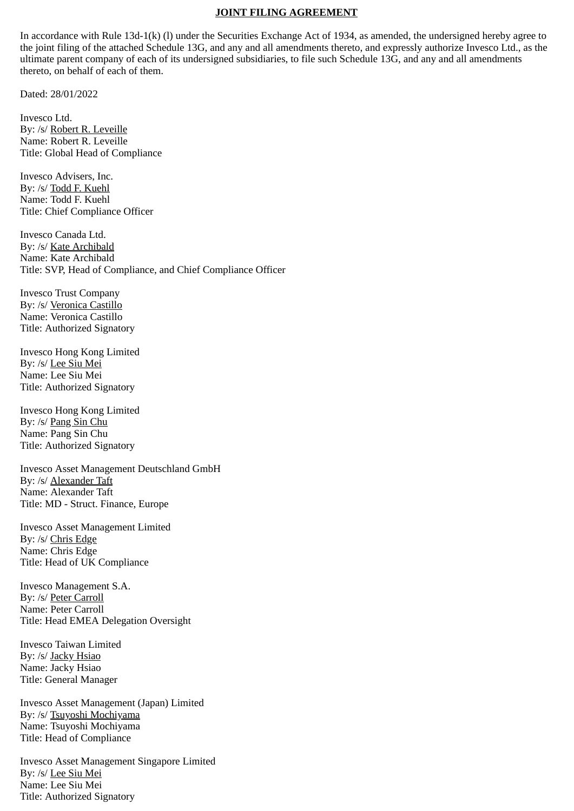#### **JOINT FILING AGREEMENT**

In accordance with Rule 13d-1(k) (l) under the Securities Exchange Act of 1934, as amended, the undersigned hereby agree to the joint filing of the attached Schedule 13G, and any and all amendments thereto, and expressly authorize Invesco Ltd., as the ultimate parent company of each of its undersigned subsidiaries, to file such Schedule 13G, and any and all amendments thereto, on behalf of each of them.

Dated: 28/01/2022

Invesco Ltd. By: /s/ Robert R. Leveille Name: Robert R. Leveille Title: Global Head of Compliance

Invesco Advisers, Inc. By: /s/ Todd F. Kuehl Name: Todd F. Kuehl Title: Chief Compliance Officer

Invesco Canada Ltd. By: /s/ Kate Archibald Name: Kate Archibald Title: SVP, Head of Compliance, and Chief Compliance Officer

Invesco Trust Company By: /s/ Veronica Castillo Name: Veronica Castillo Title: Authorized Signatory

Invesco Hong Kong Limited By: /s/ Lee Siu Mei Name: Lee Siu Mei Title: Authorized Signatory

Invesco Hong Kong Limited By: /s/ Pang Sin Chu Name: Pang Sin Chu Title: Authorized Signatory

Invesco Asset Management Deutschland GmbH By: /s/ Alexander Taft Name: Alexander Taft Title: MD - Struct. Finance, Europe

Invesco Asset Management Limited By: /s/ Chris Edge Name: Chris Edge Title: Head of UK Compliance

Invesco Management S.A. By: /s/ Peter Carroll Name: Peter Carroll Title: Head EMEA Delegation Oversight

Invesco Taiwan Limited By: /s/ Jacky Hsiao Name: Jacky Hsiao Title: General Manager

Invesco Asset Management (Japan) Limited By: /s/ Tsuyoshi Mochiyama Name: Tsuyoshi Mochiyama Title: Head of Compliance

Invesco Asset Management Singapore Limited By: /s/ Lee Siu Mei Name: Lee Siu Mei Title: Authorized Signatory